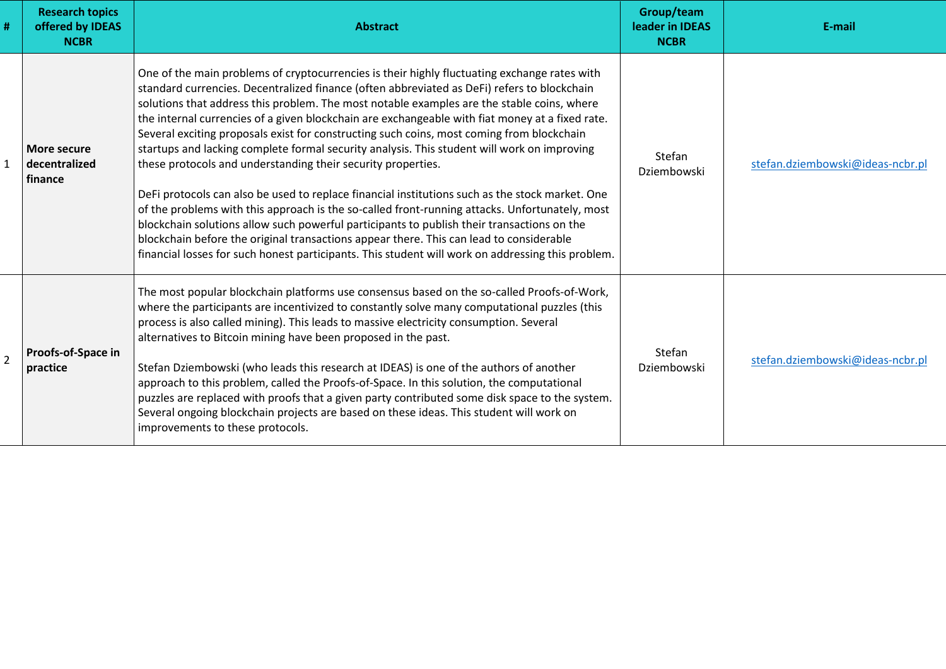| <b>Research topics</b><br>offered by IDEAS<br><b>NCBR</b> | <b>Abstract</b>                                                                                                                                                                                                                                                                                                                                                                                                                                                                                                                                                                                                                                                                                                                                                                                                                                                                                                                                                                                                                                                                                                                                             | Group/team<br>leader in IDEAS<br><b>NCBR</b> | E-mail                           |
|-----------------------------------------------------------|-------------------------------------------------------------------------------------------------------------------------------------------------------------------------------------------------------------------------------------------------------------------------------------------------------------------------------------------------------------------------------------------------------------------------------------------------------------------------------------------------------------------------------------------------------------------------------------------------------------------------------------------------------------------------------------------------------------------------------------------------------------------------------------------------------------------------------------------------------------------------------------------------------------------------------------------------------------------------------------------------------------------------------------------------------------------------------------------------------------------------------------------------------------|----------------------------------------------|----------------------------------|
| More secure<br>decentralized<br>finance                   | One of the main problems of cryptocurrencies is their highly fluctuating exchange rates with<br>standard currencies. Decentralized finance (often abbreviated as DeFi) refers to blockchain<br>solutions that address this problem. The most notable examples are the stable coins, where<br>the internal currencies of a given blockchain are exchangeable with fiat money at a fixed rate.<br>Several exciting proposals exist for constructing such coins, most coming from blockchain<br>startups and lacking complete formal security analysis. This student will work on improving<br>these protocols and understanding their security properties.<br>DeFi protocols can also be used to replace financial institutions such as the stock market. One<br>of the problems with this approach is the so-called front-running attacks. Unfortunately, most<br>blockchain solutions allow such powerful participants to publish their transactions on the<br>blockchain before the original transactions appear there. This can lead to considerable<br>financial losses for such honest participants. This student will work on addressing this problem. | Stefan<br>Dziembowski                        | stefan.dziembowski@ideas-ncbr.pl |
| Proofs-of-Space in<br>practice                            | The most popular blockchain platforms use consensus based on the so-called Proofs-of-Work,<br>where the participants are incentivized to constantly solve many computational puzzles (this<br>process is also called mining). This leads to massive electricity consumption. Several<br>alternatives to Bitcoin mining have been proposed in the past.<br>Stefan Dziembowski (who leads this research at IDEAS) is one of the authors of another<br>approach to this problem, called the Proofs-of-Space. In this solution, the computational<br>puzzles are replaced with proofs that a given party contributed some disk space to the system.<br>Several ongoing blockchain projects are based on these ideas. This student will work on<br>improvements to these protocols.                                                                                                                                                                                                                                                                                                                                                                              | Stefan<br>Dziembowski                        | stefan.dziembowski@ideas-ncbr.pl |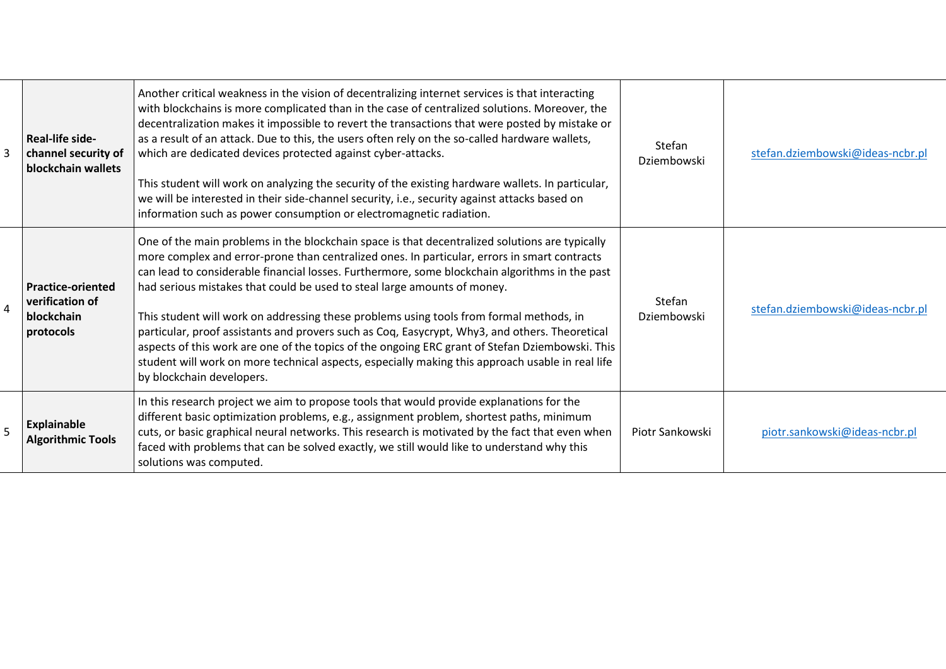|   | <b>Real-life side-</b><br>channel security of<br>blockchain wallets    | Another critical weakness in the vision of decentralizing internet services is that interacting<br>with blockchains is more complicated than in the case of centralized solutions. Moreover, the<br>decentralization makes it impossible to revert the transactions that were posted by mistake or<br>as a result of an attack. Due to this, the users often rely on the so-called hardware wallets,<br>which are dedicated devices protected against cyber-attacks.<br>This student will work on analyzing the security of the existing hardware wallets. In particular,<br>we will be interested in their side-channel security, i.e., security against attacks based on<br>information such as power consumption or electromagnetic radiation.                                                             | <b>Stefan</b><br>Dziembowski | stefan.dziembowski@ideas-ncbr.pl |
|---|------------------------------------------------------------------------|---------------------------------------------------------------------------------------------------------------------------------------------------------------------------------------------------------------------------------------------------------------------------------------------------------------------------------------------------------------------------------------------------------------------------------------------------------------------------------------------------------------------------------------------------------------------------------------------------------------------------------------------------------------------------------------------------------------------------------------------------------------------------------------------------------------|------------------------------|----------------------------------|
| 4 | <b>Practice-oriented</b><br>verification of<br>blockchain<br>protocols | One of the main problems in the blockchain space is that decentralized solutions are typically<br>more complex and error-prone than centralized ones. In particular, errors in smart contracts<br>can lead to considerable financial losses. Furthermore, some blockchain algorithms in the past<br>had serious mistakes that could be used to steal large amounts of money.<br>This student will work on addressing these problems using tools from formal methods, in<br>particular, proof assistants and provers such as Coq, Easycrypt, Why3, and others. Theoretical<br>aspects of this work are one of the topics of the ongoing ERC grant of Stefan Dziembowski. This<br>student will work on more technical aspects, especially making this approach usable in real life<br>by blockchain developers. | <b>Stefan</b><br>Dziembowski | stefan.dziembowski@ideas-ncbr.pl |
|   | <b>Explainable</b><br><b>Algorithmic Tools</b>                         | In this research project we aim to propose tools that would provide explanations for the<br>different basic optimization problems, e.g., assignment problem, shortest paths, minimum<br>cuts, or basic graphical neural networks. This research is motivated by the fact that even when<br>faced with problems that can be solved exactly, we still would like to understand why this<br>solutions was computed.                                                                                                                                                                                                                                                                                                                                                                                              | Piotr Sankowski              | piotr.sankowski@ideas-ncbr.pl    |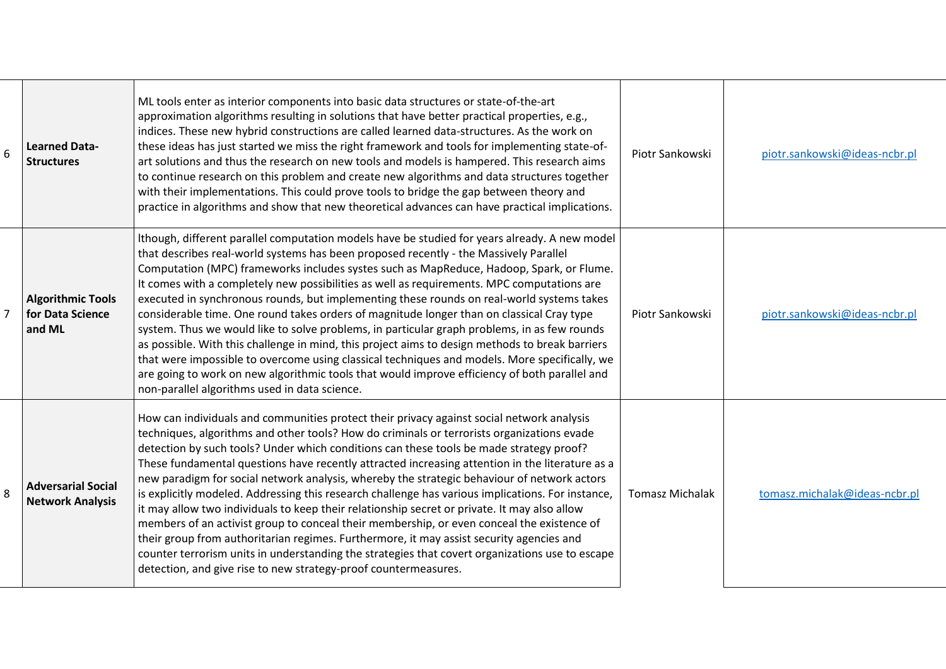| 6              | <b>Learned Data-</b><br><b>Structures</b>              | ML tools enter as interior components into basic data structures or state-of-the-art<br>approximation algorithms resulting in solutions that have better practical properties, e.g.,<br>indices. These new hybrid constructions are called learned data-structures. As the work on<br>these ideas has just started we miss the right framework and tools for implementing state-of-<br>art solutions and thus the research on new tools and models is hampered. This research aims<br>to continue research on this problem and create new algorithms and data structures together<br>with their implementations. This could prove tools to bridge the gap between theory and<br>practice in algorithms and show that new theoretical advances can have practical implications.                                                                                                                                                                                                                                                                            | Piotr Sankowski        | piotr.sankowski@ideas-ncbr.pl |
|----------------|--------------------------------------------------------|-----------------------------------------------------------------------------------------------------------------------------------------------------------------------------------------------------------------------------------------------------------------------------------------------------------------------------------------------------------------------------------------------------------------------------------------------------------------------------------------------------------------------------------------------------------------------------------------------------------------------------------------------------------------------------------------------------------------------------------------------------------------------------------------------------------------------------------------------------------------------------------------------------------------------------------------------------------------------------------------------------------------------------------------------------------|------------------------|-------------------------------|
| $\overline{7}$ | <b>Algorithmic Tools</b><br>for Data Science<br>and ML | Ithough, different parallel computation models have be studied for years already. A new model<br>that describes real-world systems has been proposed recently - the Massively Parallel<br>Computation (MPC) frameworks includes systes such as MapReduce, Hadoop, Spark, or Flume.<br>It comes with a completely new possibilities as well as requirements. MPC computations are<br>executed in synchronous rounds, but implementing these rounds on real-world systems takes<br>considerable time. One round takes orders of magnitude longer than on classical Cray type<br>system. Thus we would like to solve problems, in particular graph problems, in as few rounds<br>as possible. With this challenge in mind, this project aims to design methods to break barriers<br>that were impossible to overcome using classical techniques and models. More specifically, we<br>are going to work on new algorithmic tools that would improve efficiency of both parallel and<br>non-parallel algorithms used in data science.                          | Piotr Sankowski        | piotr.sankowski@ideas-ncbr.pl |
| 8              | <b>Adversarial Social</b><br><b>Network Analysis</b>   | How can individuals and communities protect their privacy against social network analysis<br>techniques, algorithms and other tools? How do criminals or terrorists organizations evade<br>detection by such tools? Under which conditions can these tools be made strategy proof?<br>These fundamental questions have recently attracted increasing attention in the literature as a<br>new paradigm for social network analysis, whereby the strategic behaviour of network actors<br>is explicitly modeled. Addressing this research challenge has various implications. For instance,<br>it may allow two individuals to keep their relationship secret or private. It may also allow<br>members of an activist group to conceal their membership, or even conceal the existence of<br>their group from authoritarian regimes. Furthermore, it may assist security agencies and<br>counter terrorism units in understanding the strategies that covert organizations use to escape<br>detection, and give rise to new strategy-proof countermeasures. | <b>Tomasz Michalak</b> | tomasz.michalak@ideas-ncbr.pl |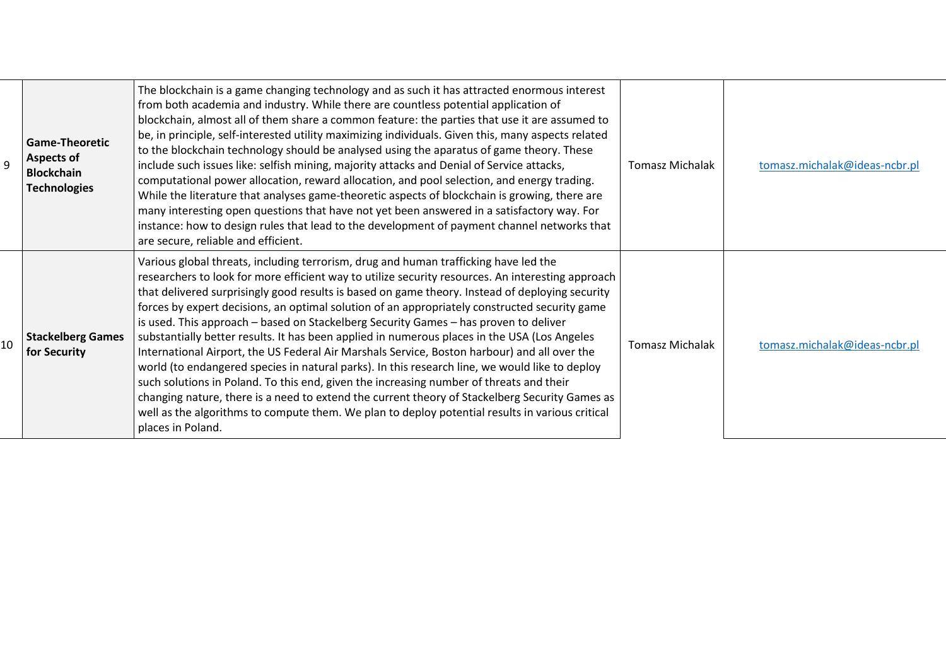| 9  | <b>Game-Theoretic</b><br><b>Aspects of</b><br><b>Blockchain</b><br><b>Technologies</b> | The blockchain is a game changing technology and as such it has attracted enormous interest<br>from both academia and industry. While there are countless potential application of<br>blockchain, almost all of them share a common feature: the parties that use it are assumed to<br>be, in principle, self-interested utility maximizing individuals. Given this, many aspects related<br>to the blockchain technology should be analysed using the aparatus of game theory. These<br>include such issues like: selfish mining, majority attacks and Denial of Service attacks,<br>computational power allocation, reward allocation, and pool selection, and energy trading.<br>While the literature that analyses game-theoretic aspects of blockchain is growing, there are<br>many interesting open questions that have not yet been answered in a satisfactory way. For<br>instance: how to design rules that lead to the development of payment channel networks that<br>are secure, reliable and efficient.                                                                                        | <b>Tomasz Michalak</b> | tomasz.michalak@ideas-ncbr.pl |
|----|----------------------------------------------------------------------------------------|--------------------------------------------------------------------------------------------------------------------------------------------------------------------------------------------------------------------------------------------------------------------------------------------------------------------------------------------------------------------------------------------------------------------------------------------------------------------------------------------------------------------------------------------------------------------------------------------------------------------------------------------------------------------------------------------------------------------------------------------------------------------------------------------------------------------------------------------------------------------------------------------------------------------------------------------------------------------------------------------------------------------------------------------------------------------------------------------------------------|------------------------|-------------------------------|
| 10 | <b>Stackelberg Games</b><br>for Security                                               | Various global threats, including terrorism, drug and human trafficking have led the<br>researchers to look for more efficient way to utilize security resources. An interesting approach<br>that delivered surprisingly good results is based on game theory. Instead of deploying security<br>forces by expert decisions, an optimal solution of an appropriately constructed security game<br>is used. This approach – based on Stackelberg Security Games – has proven to deliver<br>substantially better results. It has been applied in numerous places in the USA (Los Angeles<br>International Airport, the US Federal Air Marshals Service, Boston harbour) and all over the<br>world (to endangered species in natural parks). In this research line, we would like to deploy<br>such solutions in Poland. To this end, given the increasing number of threats and their<br>changing nature, there is a need to extend the current theory of Stackelberg Security Games as<br>well as the algorithms to compute them. We plan to deploy potential results in various critical<br>places in Poland. | <b>Tomasz Michalak</b> | tomasz.michalak@ideas-ncbr.pl |